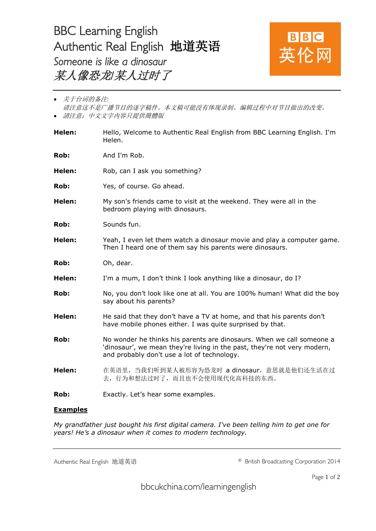## BBC Learning English Authentic Real English 地道英语 *Someone is like a dinosaur*  某人像恐龙*/*某人过时了



- 关于台词的备注*:* 请注意这不是广播节目的逐字稿件。本文稿可能没有体现录制、编辑过程中对节目做出的改变。
- 請注意:中文文字内容只提供簡體版
- **Helen:** Hello, Welcome to Authentic Real English from BBC Learning English. I'm Helen.
- **Rob:** And I'm Rob.
- Helen: Rob, can I ask you something?
- **Rob:** Yes, of course. Go ahead.
- **Helen:** My son's friends came to visit at the weekend. They were all in the bedroom playing with dinosaurs.
- **Rob:** Sounds fun.
- **Helen:** Yeah, I even let them watch a dinosaur movie and play a computer game. Then I heard one of them say his parents were dinosaurs.
- **Rob:** Oh, dear.
- **Helen:** I'm a mum, I don't think I look anything like a dinosaur, do I?
- **Rob:** No, you don't look like one at all. You are 100% human! What did the boy say about his parents?
- **Helen:** He said that they don't have a TV at home, and that his parents don't have mobile phones either. I was quite surprised by that.
- **Rob:** No wonder he thinks his parents are dinosaurs. When we call someone a 'dinosaur', we mean they're living in the past, they're not very modern, and probably don't use a lot of technology.
- **Helen:** 在英语里,当我们听到某人被形容为恐龙时 a dinosaur,意思就是他们还生活在过 去,行为和想法过时了,而且也不会使用现代化高科技的东西。
- **Rob:** Exactly. Let's hear some examples.

## **Examples**

*My grandfather just bought his first digital camera. I've been telling him to get one for years! He's a dinosaur when it comes to modern technology.* 

Authentic Real English 地道英语 © British Broadcasting Corporation 2014